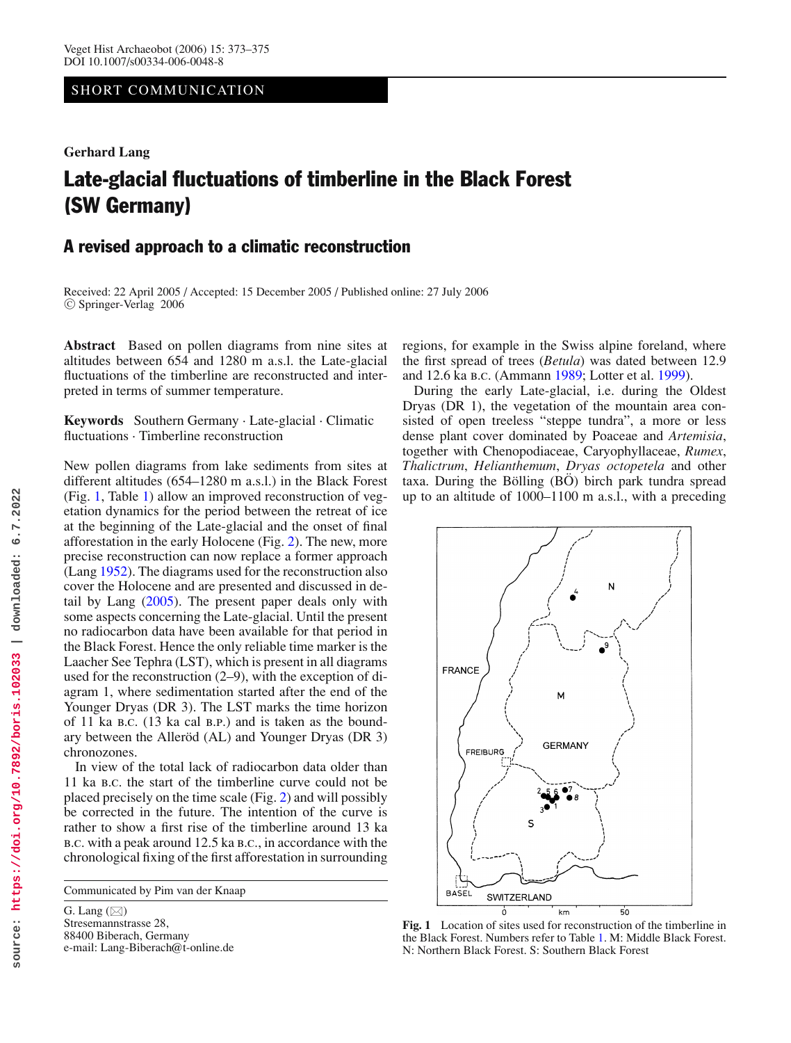## SHORT COMMUNICATION

**Gerhard Lang**

## Late-glacial fluctuations of timberline in the Black Forest (SW Germany)

## A revised approach to a climatic reconstruction

Received: 22 April 2005 / Accepted: 15 December 2005 / Published online: 27 July 2006 <sup>C</sup> Springer-Verlag 2006

**Abstract** Based on pollen diagrams from nine sites at altitudes between 654 and 1280 m a.s.l. the Late-glacial fluctuations of the timberline are reconstructed and interpreted in terms of summer temperature.

**Keywords** Southern Germany . Late-glacial . Climatic fluctuations . Timberline reconstruction

New pollen diagrams from lake sediments from sites at different altitudes (654–1280 m a.s.l.) in the Black Forest (Fig. 1, Table 1) allow an improved reconstruction of vegetation dynamics for the period between the retreat of ice at the beginning of the Late-glacial and the onset of final afforestation in the early Holocene (Fig. 2). The new, more precise reconstruction can now replace a former approach (Lang 1952). The diagrams used for the reconstruction also cover the Holocene and are presented and discussed in detail by Lang [\(2005\)](#page-2-0). The present paper deals only with some aspects concerning the Late-glacial. Until the present no radiocarbon data have been available for that period in the Black Forest. Hence the only reliable time marker is the Laacher See Tephra (LST), which is present in all diagrams used for the reconstruction (2–9), with the exception of diagram 1, where sedimentation started after the end of the Younger Dryas (DR 3). The LST marks the time horizon of 11 ka b.c. (13 ka cal b.p.) and is taken as the boundary between the Allerod  $(AL)$  and Younger Dryas  $(DR 3)$ chronozones.

In view of the total lack of radiocarbon data older than 11 ka b.c. the start of the timberline curve could not be placed precisely on the time scale (Fig. 2) and will possibly be corrected in the future. The intention of the curve is rather to show a first rise of the timberline around 13 ka b.c. with a peak around 12.5 ka b.c., in accordance with the chronological fixing of the first afforestation in surrounding

Communicated by Pim van der Knaap

regions, for example in the Swiss alpine foreland, where the first spread of trees (*Betula*) was dated between 12.9 and 12.6 ka b.c. (Ammann 1989; Lotter et al. 1999).

During the early Late-glacial, i.e. during the Oldest Dryas (DR 1), the vegetation of the mountain area consisted of open treeless "steppe tundra", a more or less dense plant cover dominated by Poaceae and *Artemisia*, together with Chenopodiaceae, Caryophyllaceae, *Rumex*, *Thalictrum*, *Helianthemum*, *Dryas octopetela* and other taxa. During the Bölling  $(B\ddot{O})$  birch park tundra spread up to an altitude of 1000–1100 m a.s.l., with a preceding



**Fig. 1** Location of sites used for reconstruction of the timberline in the Black Forest. Numbers refer to Table 1. M: Middle Black Forest. N: Northern Black Forest. S: Southern Black Forest

G. Lang  $(\boxtimes)$ Stresemannstrasse 28, 88400 Biberach, Germany e-mail: Lang-Biberach@t-online.de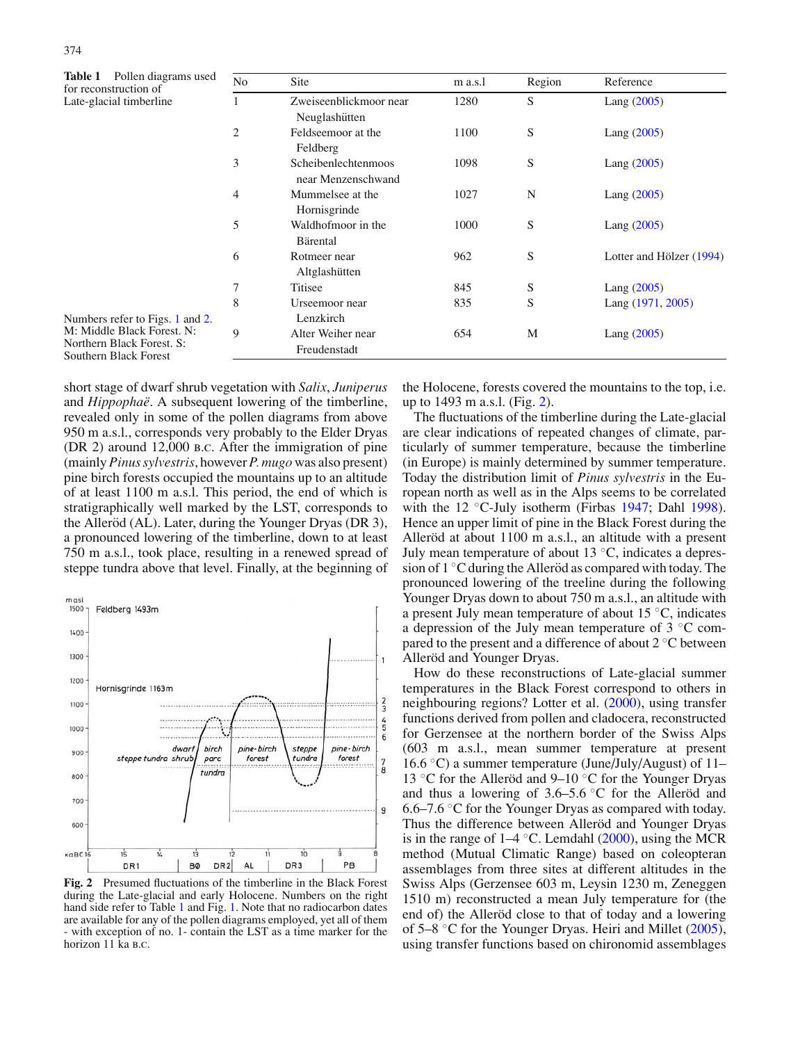| <b>Table 1</b> Pollen diagrams used<br>for reconstruction of                                                                                   | N <sub>o</sub> | Site                                      | m a.s.l | Region | Reference                |
|------------------------------------------------------------------------------------------------------------------------------------------------|----------------|-------------------------------------------|---------|--------|--------------------------|
| Late-glacial timberline<br>Numbers refer to Figs. 1 and 2.<br>M: Middle Black Forest. N:<br>Northern Black Forest. S:<br>Southern Black Forest |                | Zweiseenblickmoor near<br>Neuglashütten   | 1280    | S      | Lang $(2005)$            |
|                                                                                                                                                | $\overline{2}$ | Feldseemoor at the<br>Feldberg            | 1100    | S      | Lang $(2005)$            |
|                                                                                                                                                | 3              | Scheibenlechtenmoos<br>near Menzenschwand | 1098    | S      | Lang $(2005)$            |
|                                                                                                                                                | 4              | Mummelsee at the<br>Hornisgrinde          | 1027    | N      | Lang $(2005)$            |
|                                                                                                                                                | 5              | Waldhofmoor in the<br>Bärental            | 1000    | S      | Lang $(2005)$            |
|                                                                                                                                                | 6              | Rotmeer near<br>Altglashütten             | 962     | S      | Lotter and Hölzer (1994) |
|                                                                                                                                                | 7              | Titisee                                   | 845     | S      | Lang $(2005)$            |
|                                                                                                                                                | 8              | Urseemoor near<br>Lenzkirch               | 835     | S      | Lang (1971, 2005)        |
|                                                                                                                                                | 9              | Alter Weiher near<br>Freudenstadt         | 654     | M      | Lang $(2005)$            |

short stage of dwarf shrub vegetation with *Salix*, *Juniperus* and *Hippophaë*. A subsequent lowering of the timberline, revealed only in some of the pollen diagrams from above 950 m a.s.l., corresponds very probably to the Elder Dryas (DR 2) around 12,000 b.c. After the immigration of pine (mainly *Pinus sylvestris*, however *P. mugo* was also present) pine birch forests occupied the mountains up to an altitude of at least 1100 m a.s.l. This period, the end of which is stratigraphically well marked by the LST, corresponds to the Alleröd (AL). Later, during the Younger Dryas (DR 3), a pronounced lowering of the timberline, down to at least 750 m a.s.l., took place, resulting in a renewed spread of steppe tundra above that level. Finally, at the beginning of



**Fig. 2** Presumed fluctuations of the timberline in the Black Forest during the Late-glacial and early Holocene. Numbers on the right hand side refer to Table 1 and Fig. 1. Note that no radiocarbon dates are available for any of the pollen diagrams employed, yet all of them - with exception of no. 1- contain the LST as a time marker for the horizon 11 ka b.c.

the Holocene, forests covered the mountains to the top, i.e. up to 1493 m a.s.l. (Fig. 2).

The fluctuations of the timberline during the Late-glacial are clear indications of repeated changes of climate, particularly of summer temperature, because the timberline (in Europe) is mainly determined by summer temperature. Today the distribution limit of *Pinus sylvestris* in the European north as well as in the Alps seems to be correlated with the 12  $\degree$ C-July isotherm (Firbas [1947;](#page-2-3) Dahl [1998\)](#page-2-4). Hence an upper limit of pine in the Black Forest during the Alleröd at about  $1100 \text{ m}$  a.s.l., an altitude with a present July mean temperature of about 13 $°C$ , indicates a depression of  $1 °C$  during the Allerod as compared with today. The pronounced lowering of the treeline during the following Younger Dryas down to about 750 m a.s.l., an altitude with a present July mean temperature of about 15 ◦C, indicates a depression of the July mean temperature of 3 ◦C compared to the present and a difference of about 2 ◦C between Alleröd and Younger Dryas.

How do these reconstructions of Late-glacial summer temperatures in the Black Forest correspond to others in neighbouring regions? Lotter et al. (2000), using transfer functions derived from pollen and cladocera, reconstructed for Gerzensee at the northern border of the Swiss Alps (603 m a.s.l., mean summer temperature at present 16.6 °C) a summer temperature (June/July/August) of 11– 13 °C for the Allerod and 9–10 °C for the Younger Dryas and thus a lowering of  $3.6-5.6$  °C for the Allerod and 6.6–7.6 ◦C for the Younger Dryas as compared with today. Thus the difference between Alleröd and Younger Dryas is in the range of  $1-4$  °C. Lemdahl [\(2000\)](#page-2-5), using the MCR method (Mutual Climatic Range) based on coleopteran assemblages from three sites at different altitudes in the Swiss Alps (Gerzensee 603 m, Leysin 1230 m, Zeneggen 1510 m) reconstructed a mean July temperature for (the end of) the Allerod close to that of today and a lowering of 5–8 ◦C for the Younger Dryas. Heiri and Millet (2005), using transfer functions based on chironomid assemblages